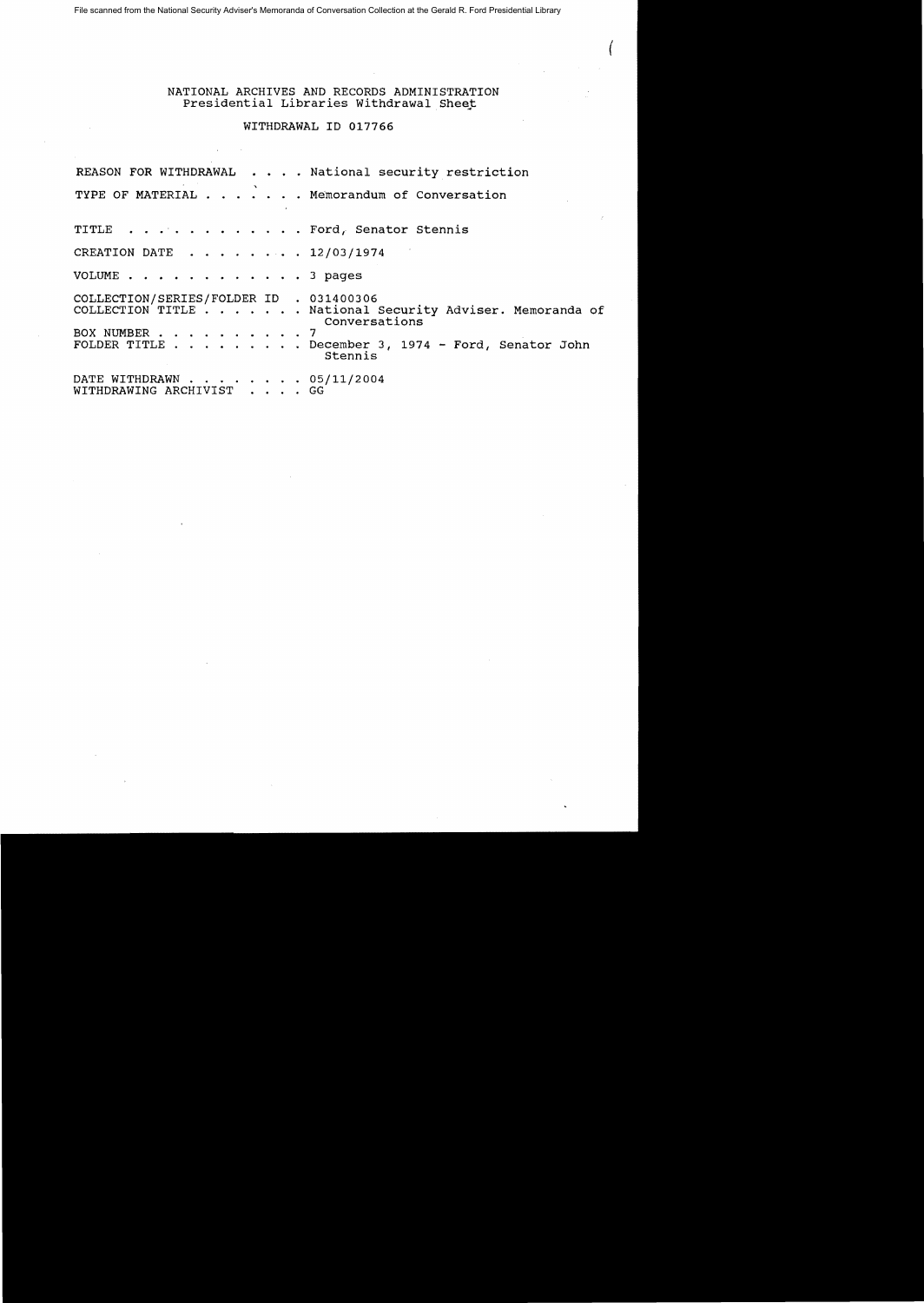File scanned from the National Security Adviser's Memoranda of Conversation Collection at the Gerald R. Ford Presidential Library

NATIONAL ARCHIVES AND RECORDS ADMINISTRATION<br>Presidential Libraries Withdrawal Sheet

 $\left($ 

## WITHDRAWAL ID 017766

|                                                                | REASON FOR WITHDRAWAL National security restriction                       |
|----------------------------------------------------------------|---------------------------------------------------------------------------|
|                                                                | TYPE OF MATERIAL Memorandum of Conversation<br>$\mathcal{E}^{\pm}$        |
| TITLE Ford, Senator Stennis                                    |                                                                           |
| CREATION DATE $\ldots$ $\ldots$ $\ldots$ $\frac{12}{03}}$ 1974 |                                                                           |
| VOLUME 3 pages                                                 |                                                                           |
| COLLECTION/SERIES/FOLDER ID . 031400306                        | COLLECTION TITLE National Security Adviser. Memoranda of<br>Conversations |
| BOX NUMBER 7                                                   | FOLDER TITLE $\ldots$ December 3, 1974 - Ford, Senator John<br>Stennis    |
| DATE WITHDRAWN 05/11/2004<br>WITHDRAWING ARCHIVIST GG          |                                                                           |